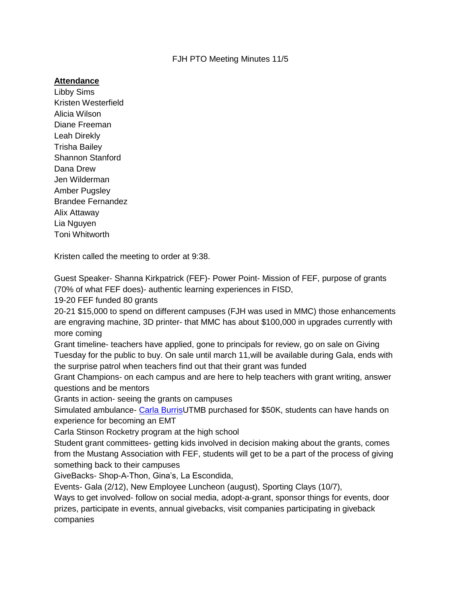## FJH PTO Meeting Minutes 11/5

## **Attendance**

Libby Sims Kristen Westerfield Alicia Wilson Diane Freeman Leah Direkly Trisha Bailey Shannon Stanford Dana Drew Jen Wilderman Amber Pugsley Brandee Fernandez Alix Attaway Lia Nguyen Toni Whitworth

Kristen called the meeting to order at 9:38.

Guest Speaker- Shanna Kirkpatrick (FEF)- Power Point- Mission of FEF, purpose of grants (70% of what FEF does)- authentic learning experiences in FISD,

19-20 FEF funded 80 grants

20-21 \$15,000 to spend on different campuses (FJH was used in MMC) those enhancements are engraving machine, 3D printer- that MMC has about \$100,000 in upgrades currently with more coming

Grant timeline- teachers have applied, gone to principals for review, go on sale on Giving Tuesday for the public to buy. On sale until march 11,will be available during Gala, ends with the surprise patrol when teachers find out that their grant was funded

Grant Champions- on each campus and are here to help teachers with grant writing, answer questions and be mentors

Grants in action- seeing the grants on campuses

Simulated ambulance- [Carla BurrisU](mailto:cburris@fisdk12.net)TMB purchased for \$50K, students can have hands on experience for becoming an EMT

Carla Stinson Rocketry program at the high school

Student grant committees- getting kids involved in decision making about the grants, comes from the Mustang Association with FEF, students will get to be a part of the process of giving something back to their campuses

GiveBacks- Shop-A-Thon, Gina's, La Escondida,

Events- Gala (2/12), New Employee Luncheon (august), Sporting Clays (10/7),

Ways to get involved- follow on social media, adopt-a-grant, sponsor things for events, door prizes, participate in events, annual givebacks, visit companies participating in giveback companies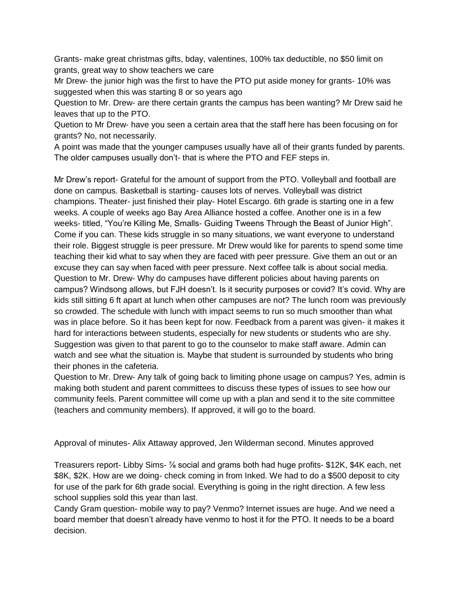Grants- make great christmas gifts, bday, valentines, 100% tax deductible, no \$50 limit on grants, great way to show teachers we care

Mr Drew- the junior high was the first to have the PTO put aside money for grants- 10% was suggested when this was starting 8 or so years ago

Question to Mr. Drew- are there certain grants the campus has been wanting? Mr Drew said he leaves that up to the PTO.

Quetion to Mr Drew- have you seen a certain area that the staff here has been focusing on for grants? No, not necessarily.

A point was made that the younger campuses usually have all of their grants funded by parents. The older campuses usually don't- that is where the PTO and FEF steps in.

Mr Drew's report- Grateful for the amount of support from the PTO. Volleyball and football are done on campus. Basketball is starting- causes lots of nerves. Volleyball was district champions. Theater- just finished their play- Hotel Escargo. 6th grade is starting one in a few weeks. A couple of weeks ago Bay Area Alliance hosted a coffee. Another one is in a few weeks- titled, "You're Killing Me, Smalls- Guiding Tweens Through the Beast of Junior High". Come if you can. These kids struggle in so many situations, we want everyone to understand their role. Biggest struggle is peer pressure. Mr Drew would like for parents to spend some time teaching their kid what to say when they are faced with peer pressure. Give them an out or an excuse they can say when faced with peer pressure. Next coffee talk is about social media. Question to Mr. Drew- Why do campuses have different policies about having parents on campus? Windsong allows, but FJH doesn't. Is it security purposes or covid? It's covid. Why are kids still sitting 6 ft apart at lunch when other campuses are not? The lunch room was previously so crowded. The schedule with lunch with impact seems to run so much smoother than what was in place before. So it has been kept for now. Feedback from a parent was given- it makes it hard for interactions between students, especially for new students or students who are shy. Suggestion was given to that parent to go to the counselor to make staff aware. Admin can watch and see what the situation is. Maybe that student is surrounded by students who bring their phones in the cafeteria.

Question to Mr. Drew- Any talk of going back to limiting phone usage on campus? Yes, admin is making both student and parent committees to discuss these types of issues to see how our community feels. Parent committee will come up with a plan and send it to the site committee (teachers and community members). If approved, it will go to the board.

Approval of minutes- Alix Attaway approved, Jen Wilderman second. Minutes approved

Treasurers report- Libby Sims- ⅞ social and grams both had huge profits- \$12K, \$4K each, net \$8K, \$2K. How are we doing- check coming in from Inked. We had to do a \$500 deposit to city for use of the park for 6th grade social. Everything is going in the right direction. A few less school supplies sold this year than last.

Candy Gram question- mobile way to pay? Venmo? Internet issues are huge. And we need a board member that doesn't already have venmo to host it for the PTO. It needs to be a board decision.